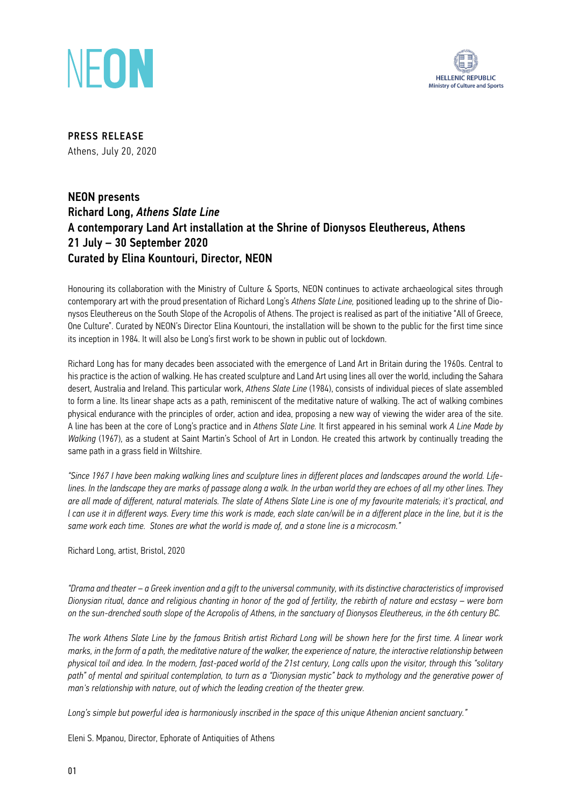



PRESS RELEASE Athens, July 20, 2020

# NEON presents Richard Long, *Athens Slate Line* A contemporary Land Art installation at the Shrine of Dionysos Eleuthereus, Athens 21 July – 30 September 2020 Curated by Elina Kountouri, Director, ΝΕΟΝ

Honouring its collaboration with the Ministry of Culture & Sports, ΝΕΟΝ continues to activate archaeological sites through contemporary art with the proud presentation of Richard Long's *Athens Slate Line,* positioned leading up to the shrine of Dionysos Eleuthereus on the South Slope of the Acropolis of Athens. The project is realised as part of the initiative "All of Greece, One Culture". Curated by NEON's Director Elina Kountouri, the installation will be shown to the public for the first time since its inception in 1984. It will also be Long's first work to be shown in public out of lockdown.

Richard Long has for many decades been associated with the emergence of Land Art in Britain during the 1960s. Central to his practice is the action of walking. He has created sculpture and Land Art using lines all over the world, including the Sahara desert, Australia and Ireland. This particular work, *Athens Slate Line* (1984), consists of individual pieces of slate assembled to form a line. Its linear shape acts as a path, reminiscent of the meditative nature of walking. The act of walking combines physical endurance with the principles of order, action and idea, proposing a new way of viewing the wider area of the site. A line has been at the core of Long's practice and in *Athens Slate Line.* It first appeared in his seminal work *A Line Made by Walking* (1967), as a student at Saint Martin's School of Art in London. He created this artwork by continually treading the same path in a grass field in Wiltshire.

*"Since 1967 I have been making walking lines and sculpture lines in different places and landscapes around the world. Lifelines. In the landscape they are marks of passage along a walk. In the urban world they are echoes of all my other lines. They are all made of different, natural materials. The slate of Athens Slate Line is one of my favourite materials; it's practical, and l* can use it in different ways. Every time this work is made, each slate can/will be in a different place in the line, but it is the *same work each time. Stones are what the world is made of, and a stone line is a microcosm."*

Richard Long, artist, Bristol, 2020

*"Drama and theater – a Greek invention and a gift to the universal community, with its distinctive characteristics of improvised Dionysian ritual, dance and religious chanting in honor of the god of fertility, the rebirth of nature and ecstasy – were born on the sun-drenched south slope of the Acropolis of Athens, in the sanctuary of Dionysos Eleuthereus, in the 6th century BC.* 

*The work Athens Slate Line by the famous British artist Richard Long will be shown here for the first time. A linear work marks, in the form of a path, the meditative nature of the walker, the experience of nature, the interactive relationship between physical toil and idea. In the modern, fast-paced world of the 21st century, Long calls upon the visitor, through this "solitary*  path" of mental and spiritual contemplation, to turn as a "Dionysian mystic" back to mythology and the generative power of *man's relationship with nature, out of which the leading creation of the theater grew.*

*Long's simple but powerful idea is harmoniously inscribed in the space of this unique Athenian ancient sanctuary."*

Eleni S. Mpanou, Director, Ephorate of Antiquities of Athens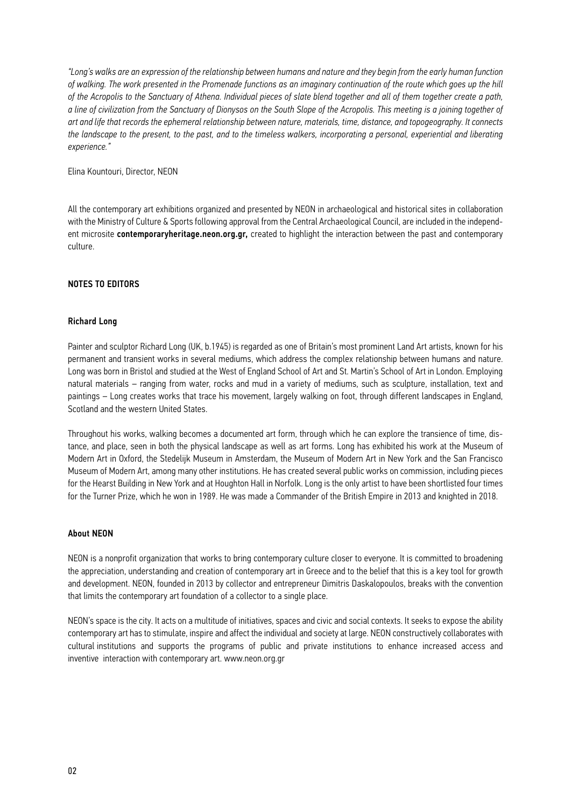*"Long's walks are an expression of the relationship between humans and nature and they begin from the early human function of walking. The work presented in the Promenade functions as an imaginary continuation of the route which goes up the hill of the Acropolis to the Sanctuary of Athena. Individual pieces of slate blend together and all of them together create a path, a line of civilization from the Sanctuary of Dionysos on the South Slope of the Acropolis. This meeting is a joining together of art and life that records the ephemeral relationship between nature, materials, time, distance, and topogeography. It connects the landscape to the present, to the past, and to the timeless walkers, incorporating a personal, experiential and liberating experience."* 

Elina Kountouri, Director, NEON

All the contemporary art exhibitions organized and presented by NEON in archaeological and historical sites in collaboration with the Ministry of Culture & Sports following approval from the Central Archaeological Council, are included in the independent microsite contemporaryheritage.neon.org.gr, created to highlight the interaction between the past and contemporary culture.

### NOTES TO EDITORS

#### Richard Long

Painter and sculptor Richard Long (UK, b.1945) is regarded as one of Britain's most prominent Land Art artists, known for his permanent and transient works in several mediums, which address the complex relationship between humans and nature. Long was born in Bristol and studied at the West of England School of Art and St. Martin's School of Art in London. Employing natural materials – ranging from water, rocks and mud in a variety of mediums, such as sculpture, installation, text and paintings – Long creates works that trace his movement, largely walking on foot, through different landscapes in England, Scotland and the western United States.

Throughout his works, walking becomes a documented art form, through which he can explore the transience of time, distance, and place, seen in both the physical landscape as well as art forms. Long has exhibited his work at the Museum of Modern Art in Oxford, the Stedelijk Museum in Amsterdam, the Museum of Modern Art in New York and the San Francisco Museum of Modern Art, among many other institutions. He has created several public works on commission, including pieces for the Hearst Building in New York and at Houghton Hall in Norfolk. Long is the only artist to have been shortlisted four times for the Turner Prize, which he won in 1989. He was made a Commander of the British Empire in 2013 and knighted in 2018.

#### About NEON

ΝΕΟΝ is a nonprofit organization that works to bring contemporary culture closer to everyone. It is committed to broadening the appreciation, understanding and creation of contemporary art in Greece and to the belief that this is a key tool for growth and development. NEON, founded in 2013 by collector and entrepreneur Dimitris Daskalopoulos, breaks with the convention that limits the contemporary art foundation of a collector to a single place.

NEON's space is the city. It acts on a multitude of initiatives, spaces and civic and social contexts. It seeks to expose the ability contemporary art has to stimulate, inspire and affect the individual and society at large. NEON constructively collaborates with cultural institutions and supports the programs of public and private institutions to enhance increased access and inventive interaction with contemporary art. www.neon.org.gr